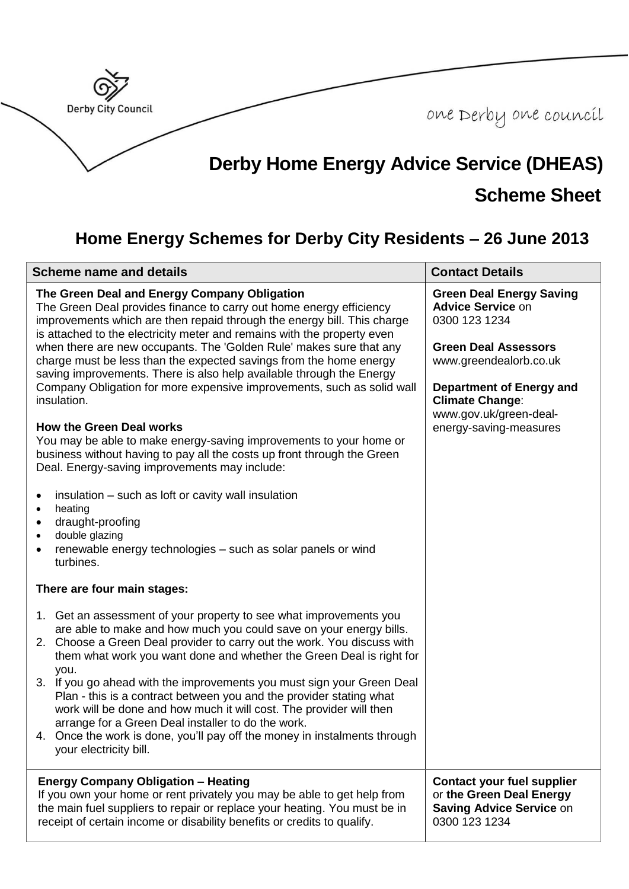

## **Home Energy Schemes for Derby City Residents – 26 June 2013**

| <b>Scheme name and details</b>                                                                                                                                                                                                                                                                                                                                                                                                                                                                                                                                                                                             | <b>Contact Details</b>                                                                                                                                                                                                                          |
|----------------------------------------------------------------------------------------------------------------------------------------------------------------------------------------------------------------------------------------------------------------------------------------------------------------------------------------------------------------------------------------------------------------------------------------------------------------------------------------------------------------------------------------------------------------------------------------------------------------------------|-------------------------------------------------------------------------------------------------------------------------------------------------------------------------------------------------------------------------------------------------|
| The Green Deal and Energy Company Obligation<br>The Green Deal provides finance to carry out home energy efficiency<br>improvements which are then repaid through the energy bill. This charge<br>is attached to the electricity meter and remains with the property even<br>when there are new occupants. The 'Golden Rule' makes sure that any<br>charge must be less than the expected savings from the home energy<br>saving improvements. There is also help available through the Energy<br>Company Obligation for more expensive improvements, such as solid wall<br>insulation.<br><b>How the Green Deal works</b> | <b>Green Deal Energy Saving</b><br><b>Advice Service on</b><br>0300 123 1234<br><b>Green Deal Assessors</b><br>www.greendealorb.co.uk<br>Department of Energy and<br><b>Climate Change:</b><br>www.gov.uk/green-deal-<br>energy-saving-measures |
| You may be able to make energy-saving improvements to your home or<br>business without having to pay all the costs up front through the Green<br>Deal. Energy-saving improvements may include:                                                                                                                                                                                                                                                                                                                                                                                                                             |                                                                                                                                                                                                                                                 |
| insulation – such as loft or cavity wall insulation<br>$\bullet$<br>heating<br>draught-proofing<br>double glazing<br>renewable energy technologies - such as solar panels or wind<br>turbines.                                                                                                                                                                                                                                                                                                                                                                                                                             |                                                                                                                                                                                                                                                 |
| There are four main stages:                                                                                                                                                                                                                                                                                                                                                                                                                                                                                                                                                                                                |                                                                                                                                                                                                                                                 |
| 1. Get an assessment of your property to see what improvements you<br>are able to make and how much you could save on your energy bills.<br>2. Choose a Green Deal provider to carry out the work. You discuss with<br>them what work you want done and whether the Green Deal is right for<br>you.                                                                                                                                                                                                                                                                                                                        |                                                                                                                                                                                                                                                 |
| 3. If you go ahead with the improvements you must sign your Green Deal<br>Plan - this is a contract between you and the provider stating what<br>work will be done and how much it will cost. The provider will then<br>arrange for a Green Deal installer to do the work.<br>4. Once the work is done, you'll pay off the money in instalments through<br>your electricity bill.                                                                                                                                                                                                                                          |                                                                                                                                                                                                                                                 |
| <b>Energy Company Obligation - Heating</b><br>If you own your home or rent privately you may be able to get help from<br>the main fuel suppliers to repair or replace your heating. You must be in<br>receipt of certain income or disability benefits or credits to qualify.                                                                                                                                                                                                                                                                                                                                              | <b>Contact your fuel supplier</b><br>or the Green Deal Energy<br><b>Saving Advice Service on</b><br>0300 123 1234                                                                                                                               |